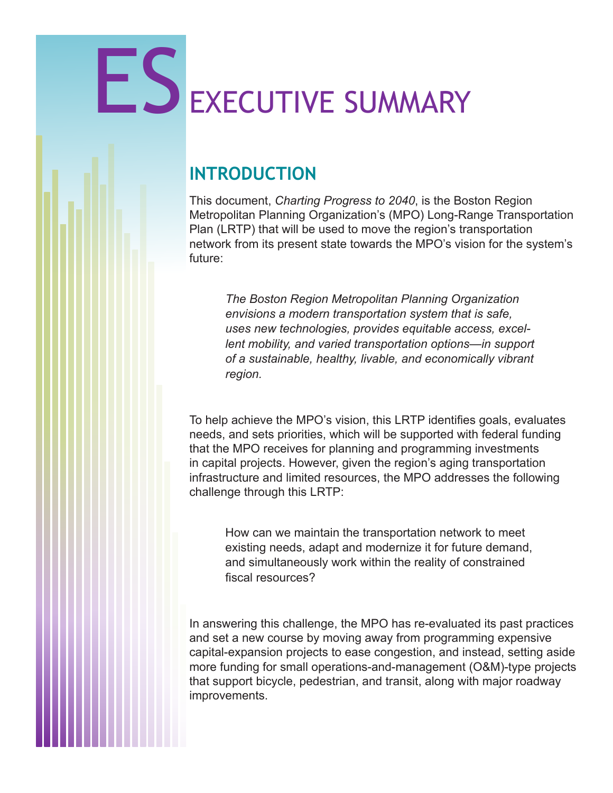# ES EXECUTIVE SUMMARY

## **INTRODUCTION**

This document, *Charting Progress to 2040*, is the Boston Region Metropolitan Planning Organization's (MPO) Long-Range Transportation Plan (LRTP) that will be used to move the region's transportation network from its present state towards the MPO's vision for the system's future:

*The Boston Region Metropolitan Planning Organization envisions a modern transportation system that is safe, uses new technologies, provides equitable access, excellent mobility, and varied transportation options*—*in support of a sustainable, healthy, livable, and economically vibrant region.* 

To help achieve the MPO's vision, this LRTP identifies goals, evaluates needs, and sets priorities, which will be supported with federal funding that the MPO receives for planning and programming investments in capital projects. However, given the region's aging transportation infrastructure and limited resources, the MPO addresses the following challenge through this LRTP:

How can we maintain the transportation network to meet existing needs, adapt and modernize it for future demand, and simultaneously work within the reality of constrained fiscal resources?

In answering this challenge, the MPO has re-evaluated its past practices and set a new course by moving away from programming expensive capital-expansion projects to ease congestion, and instead, setting aside more funding for small operations-and-management (O&M)-type projects that support bicycle, pedestrian, and transit, along with major roadway improvements.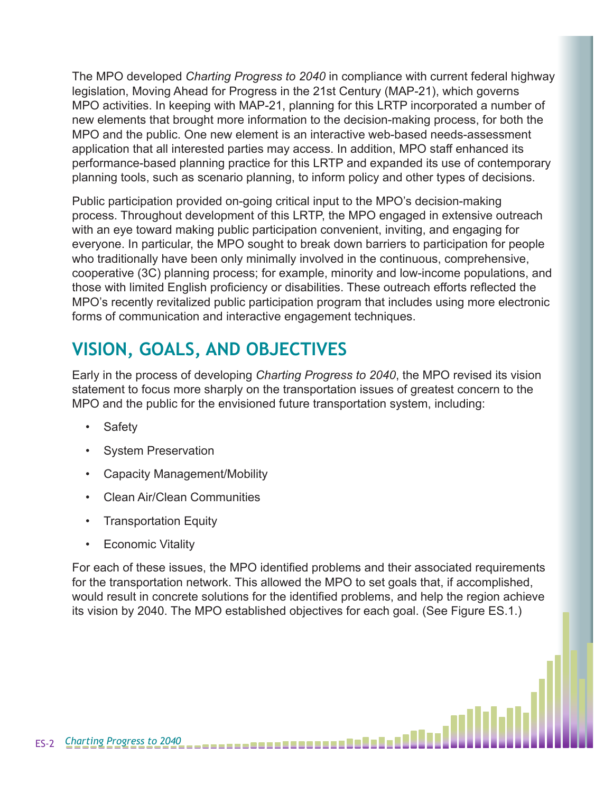The MPO developed *Charting Progress to 2040* in compliance with current federal highway legislation, Moving Ahead for Progress in the 21st Century (MAP-21), which governs MPO activities. In keeping with MAP-21, planning for this LRTP incorporated a number of new elements that brought more information to the decision-making process, for both the MPO and the public. One new element is an interactive web-based needs-assessment application that all interested parties may access. In addition, MPO staff enhanced its performance-based planning practice for this LRTP and expanded its use of contemporary planning tools, such as scenario planning, to inform policy and other types of decisions.

Public participation provided on-going critical input to the MPO's decision-making process. Throughout development of this LRTP, the MPO engaged in extensive outreach with an eye toward making public participation convenient, inviting, and engaging for everyone. In particular, the MPO sought to break down barriers to participation for people who traditionally have been only minimally involved in the continuous, comprehensive, cooperative (3C) planning process; for example, minority and low-income populations, and those with limited English proficiency or disabilities. These outreach efforts reflected the MPO's recently revitalized public participation program that includes using more electronic forms of communication and interactive engagement techniques.

# **VISION, GOALS, AND OBJECTIVES**

Early in the process of developing *Charting Progress to 2040*, the MPO revised its vision statement to focus more sharply on the transportation issues of greatest concern to the MPO and the public for the envisioned future transportation system, including:

- Safety
- System Preservation
- Capacity Management/Mobility
- Clean Air/Clean Communities
- Transportation Equity
- Economic Vitality

For each of these issues, the MPO identified problems and their associated requirements for the transportation network. This allowed the MPO to set goals that, if accomplished, would result in concrete solutions for the identified problems, and help the region achieve its vision by 2040. The MPO established objectives for each goal. (See Figure ES.1.)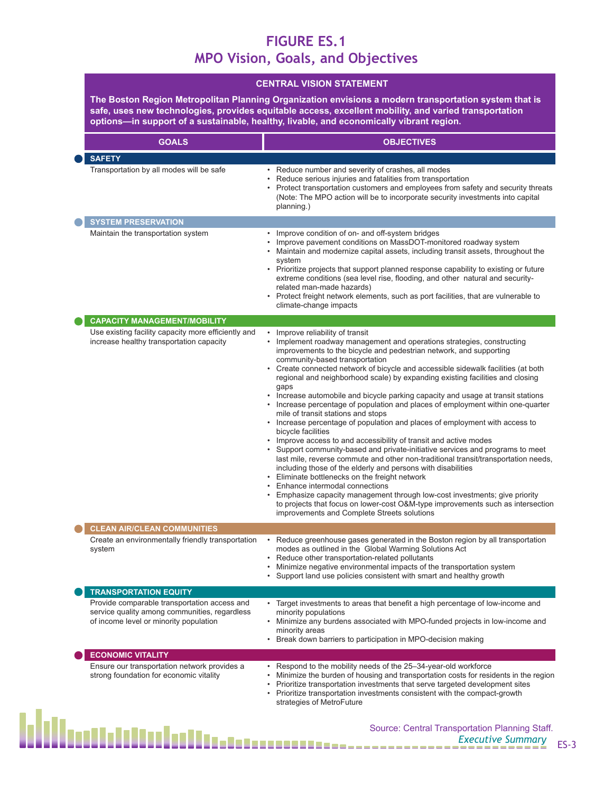#### **FIGURE ES.1 MPO Vision, Goals, and Objectives**

**The Boston Region Metropolitan Planning Organization envisions a modern transportation system that is safe, uses new technologies, provides equitable access, excellent mobility, and varied transportation options—in support of a sustainable, healthy, livable, and economically vibrant region.**

| <b>GOALS</b>                                                                                                                            | <b>OBJECTIVES</b>                                                                                                                                                                                                                                                                                                                                                                                                                                                                                                                                                                                                                                                                                                                                                                                                                                                                                                                                                                                                                                                                                                                                                                                                                                                                                                              |
|-----------------------------------------------------------------------------------------------------------------------------------------|--------------------------------------------------------------------------------------------------------------------------------------------------------------------------------------------------------------------------------------------------------------------------------------------------------------------------------------------------------------------------------------------------------------------------------------------------------------------------------------------------------------------------------------------------------------------------------------------------------------------------------------------------------------------------------------------------------------------------------------------------------------------------------------------------------------------------------------------------------------------------------------------------------------------------------------------------------------------------------------------------------------------------------------------------------------------------------------------------------------------------------------------------------------------------------------------------------------------------------------------------------------------------------------------------------------------------------|
| <b>SAFETY</b>                                                                                                                           |                                                                                                                                                                                                                                                                                                                                                                                                                                                                                                                                                                                                                                                                                                                                                                                                                                                                                                                                                                                                                                                                                                                                                                                                                                                                                                                                |
| Transportation by all modes will be safe                                                                                                | • Reduce number and severity of crashes, all modes<br>Reduce serious injuries and fatalities from transportation<br>Protect transportation customers and employees from safety and security threats<br>(Note: The MPO action will be to incorporate security investments into capital<br>planning.)                                                                                                                                                                                                                                                                                                                                                                                                                                                                                                                                                                                                                                                                                                                                                                                                                                                                                                                                                                                                                            |
| <b>SYSTEM PRESERVATION</b>                                                                                                              |                                                                                                                                                                                                                                                                                                                                                                                                                                                                                                                                                                                                                                                                                                                                                                                                                                                                                                                                                                                                                                                                                                                                                                                                                                                                                                                                |
| Maintain the transportation system                                                                                                      | Improve condition of on- and off-system bridges<br>Improve pavement conditions on MassDOT-monitored roadway system<br>Maintain and modernize capital assets, including transit assets, throughout the<br>system<br>• Prioritize projects that support planned response capability to existing or future<br>extreme conditions (sea level rise, flooding, and other natural and security-<br>related man-made hazards)<br>• Protect freight network elements, such as port facilities, that are vulnerable to<br>climate-change impacts                                                                                                                                                                                                                                                                                                                                                                                                                                                                                                                                                                                                                                                                                                                                                                                         |
| <b>CAPACITY MANAGEMENT/MOBILITY</b>                                                                                                     |                                                                                                                                                                                                                                                                                                                                                                                                                                                                                                                                                                                                                                                                                                                                                                                                                                                                                                                                                                                                                                                                                                                                                                                                                                                                                                                                |
| Use existing facility capacity more efficiently and<br>increase healthy transportation capacity                                         | • Improve reliability of transit<br>• Implement roadway management and operations strategies, constructing<br>improvements to the bicycle and pedestrian network, and supporting<br>community-based transportation<br>• Create connected network of bicycle and accessible sidewalk facilities (at both<br>regional and neighborhood scale) by expanding existing facilities and closing<br>gaps<br>Increase automobile and bicycle parking capacity and usage at transit stations<br>• Increase percentage of population and places of employment within one-quarter<br>mile of transit stations and stops<br>• Increase percentage of population and places of employment with access to<br>bicycle facilities<br>• Improve access to and accessibility of transit and active modes<br>Support community-based and private-initiative services and programs to meet<br>last mile, reverse commute and other non-traditional transit/transportation needs,<br>including those of the elderly and persons with disabilities<br>• Eliminate bottlenecks on the freight network<br>Enhance intermodal connections<br>Emphasize capacity management through low-cost investments; give priority<br>to projects that focus on lower-cost O&M-type improvements such as intersection<br>improvements and Complete Streets solutions |
| <b>CLEAN AIR/CLEAN COMMUNITIES</b>                                                                                                      |                                                                                                                                                                                                                                                                                                                                                                                                                                                                                                                                                                                                                                                                                                                                                                                                                                                                                                                                                                                                                                                                                                                                                                                                                                                                                                                                |
| Create an environmentally friendly transportation<br>system                                                                             | Reduce greenhouse gases generated in the Boston region by all transportation<br>modes as outlined in the Global Warming Solutions Act<br>Reduce other transportation-related pollutants<br>Minimize negative environmental impacts of the transportation system<br>Support land use policies consistent with smart and healthy growth                                                                                                                                                                                                                                                                                                                                                                                                                                                                                                                                                                                                                                                                                                                                                                                                                                                                                                                                                                                          |
| <b>TRANSPORTATION EQUITY</b>                                                                                                            |                                                                                                                                                                                                                                                                                                                                                                                                                                                                                                                                                                                                                                                                                                                                                                                                                                                                                                                                                                                                                                                                                                                                                                                                                                                                                                                                |
| Provide comparable transportation access and<br>service quality among communities, regardless<br>of income level or minority population | • Target investments to areas that benefit a high percentage of low-income and<br>minority populations<br>• Minimize any burdens associated with MPO-funded projects in low-income and<br>minority areas<br>Break down barriers to participation in MPO-decision making                                                                                                                                                                                                                                                                                                                                                                                                                                                                                                                                                                                                                                                                                                                                                                                                                                                                                                                                                                                                                                                        |
| <b>ECONOMIC VITALITY</b>                                                                                                                |                                                                                                                                                                                                                                                                                                                                                                                                                                                                                                                                                                                                                                                                                                                                                                                                                                                                                                                                                                                                                                                                                                                                                                                                                                                                                                                                |
| Ensure our transportation network provides a<br>strong foundation for economic vitality                                                 | • Respond to the mobility needs of the 25-34-year-old workforce<br>Minimize the burden of housing and transportation costs for residents in the region<br>Prioritize transportation investments that serve targeted development sites<br>• Prioritize transportation investments consistent with the compact-growth<br>strategies of MetroFuture                                                                                                                                                                                                                                                                                                                                                                                                                                                                                                                                                                                                                                                                                                                                                                                                                                                                                                                                                                               |
| ▜▐▌▁▊▄▊▆▖                                                                                                                               | Source: Central Transportation Planning Staff.                                                                                                                                                                                                                                                                                                                                                                                                                                                                                                                                                                                                                                                                                                                                                                                                                                                                                                                                                                                                                                                                                                                                                                                                                                                                                 |

Executive Summary<br>**Executive Summary** ES-3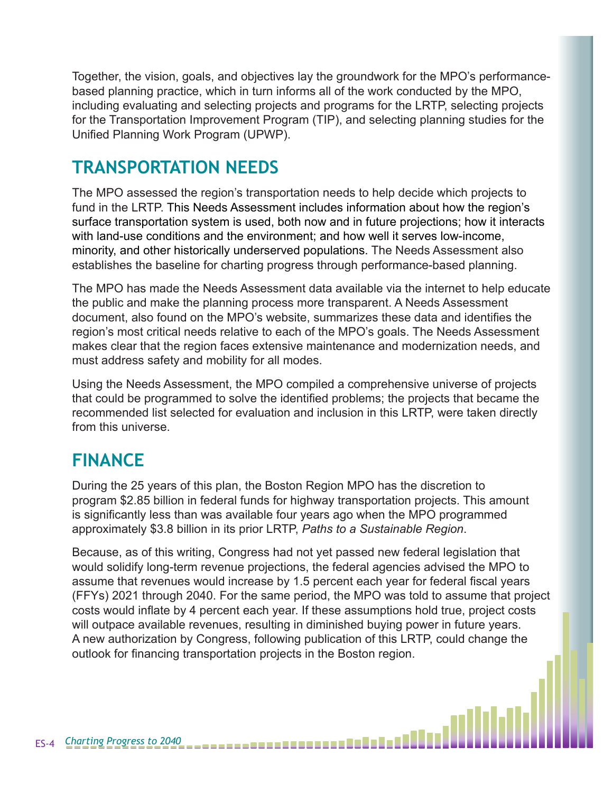Together, the vision, goals, and objectives lay the groundwork for the MPO's performancebased planning practice, which in turn informs all of the work conducted by the MPO, including evaluating and selecting projects and programs for the LRTP, selecting projects for the Transportation Improvement Program (TIP), and selecting planning studies for the Unified Planning Work Program (UPWP).

## **TRANSPORTATION NEEDS**

The MPO assessed the region's transportation needs to help decide which projects to fund in the LRTP. This Needs Assessment includes information about how the region's surface transportation system is used, both now and in future projections; how it interacts with land-use conditions and the environment; and how well it serves low-income, minority, and other historically underserved populations. The Needs Assessment also establishes the baseline for charting progress through performance-based planning.

The MPO has made the Needs Assessment data available via the internet to help educate the public and make the planning process more transparent. A Needs Assessment document, also found on the MPO's website, summarizes these data and identifies the region's most critical needs relative to each of the MPO's goals. The Needs Assessment makes clear that the region faces extensive maintenance and modernization needs, and must address safety and mobility for all modes.

Using the Needs Assessment, the MPO compiled a comprehensive universe of projects that could be programmed to solve the identified problems; the projects that became the recommended list selected for evaluation and inclusion in this LRTP, were taken directly from this universe.

# **FINANCE**

During the 25 years of this plan, the Boston Region MPO has the discretion to program \$2.85 billion in federal funds for highway transportation projects. This amount is significantly less than was available four years ago when the MPO programmed approximately \$3.8 billion in its prior LRTP, *Paths to a Sustainable Region*.

Because, as of this writing, Congress had not yet passed new federal legislation that would solidify long-term revenue projections, the federal agencies advised the MPO to assume that revenues would increase by 1.5 percent each year for federal fiscal years (FFYs) 2021 through 2040. For the same period, the MPO was told to assume that project costs would inflate by 4 percent each year. If these assumptions hold true, project costs will outpace available revenues, resulting in diminished buying power in future years. A new authorization by Congress, following publication of this LRTP, could change the outlook for financing transportation projects in the Boston region.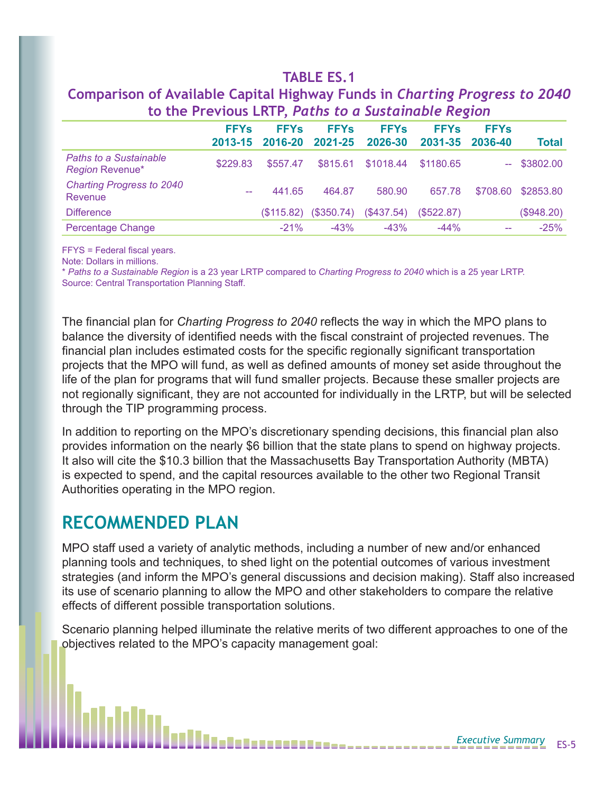#### **TABLE ES.1**

|                                                         | $\sim$ , and a set of the set of the set of the set of the set of the set of the set of the set of the set of the set of the set of the set of the set of the set of the set of the set of the set of the set of the set of the |                        |                        |                        |                                   |                                   |               |
|---------------------------------------------------------|---------------------------------------------------------------------------------------------------------------------------------------------------------------------------------------------------------------------------------|------------------------|------------------------|------------------------|-----------------------------------|-----------------------------------|---------------|
|                                                         | <b>FFYs</b><br>2013-15                                                                                                                                                                                                          | <b>FFYs</b><br>2016-20 | <b>FFYs</b><br>2021-25 | <b>FFYs</b><br>2026-30 | <b>FFY<sub>s</sub></b><br>2031-35 | <b>FFY<sub>S</sub></b><br>2036-40 | <b>Total</b>  |
| <b>Paths to a Sustainable</b><br><b>Region Revenue*</b> | \$229.83                                                                                                                                                                                                                        | \$557.47               | \$815.61               | \$1018.44              | \$1180.65                         |                                   | $-$ \$3802.00 |
| <b>Charting Progress to 2040</b><br>Revenue             | $\sim$ $\sim$                                                                                                                                                                                                                   | 441.65                 | 464.87                 | 580.90                 | 657.78                            | \$708.60                          | \$2853.80     |
| <b>Difference</b>                                       |                                                                                                                                                                                                                                 | (S115.82)              | (\$350.74)             | (\$437.54)             | (S522.87)                         |                                   | (\$948.20)    |
| <b>Percentage Change</b>                                |                                                                                                                                                                                                                                 | $-21%$                 | $-43%$                 | $-43%$                 | $-44%$                            |                                   | $-25%$        |

#### **Comparison of Available Capital Highway Funds in** *Charting Progress to 2040* **to the Previous LRTP,** *Paths to a Sustainable Region*

FFYS = Federal fiscal years.

Note: Dollars in millions.

\* *Paths to a Sustainable Region* is a 23 year LRTP compared to *Charting Progress to 2040* which is a 25 year LRTP. Source: Central Transportation Planning Staff.

The financial plan for *Charting Progress to 2040* reflects the way in which the MPO plans to balance the diversity of identified needs with the fiscal constraint of projected revenues. The financial plan includes estimated costs for the specific regionally significant transportation projects that the MPO will fund, as well as defined amounts of money set aside throughout the life of the plan for programs that will fund smaller projects. Because these smaller projects are not regionally significant, they are not accounted for individually in the LRTP, but will be selected through the TIP programming process.

In addition to reporting on the MPO's discretionary spending decisions, this financial plan also provides information on the nearly \$6 billion that the state plans to spend on highway projects. It also will cite the \$10.3 billion that the Massachusetts Bay Transportation Authority (MBTA) is expected to spend, and the capital resources available to the other two Regional Transit Authorities operating in the MPO region.

### **RECOMMENDED PLAN**

MPO staff used a variety of analytic methods, including a number of new and/or enhanced planning tools and techniques, to shed light on the potential outcomes of various investment strategies (and inform the MPO's general discussions and decision making). Staff also increased its use of scenario planning to allow the MPO and other stakeholders to compare the relative effects of different possible transportation solutions.

Scenario planning helped illuminate the relative merits of two different approaches to one of the objectives related to the MPO's capacity management goal:

8 8 8 8 - - - - - - - - - - - - - - -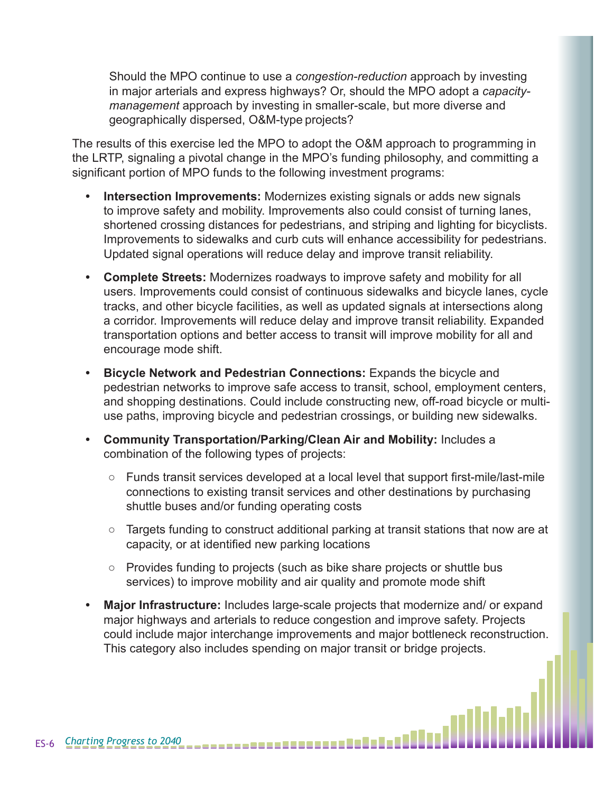Should the MPO continue to use a *congestion-reduction* approach by investing in major arterials and express highways? Or, should the MPO adopt a *capacitymanagement* approach by investing in smaller-scale, but more diverse and geographically dispersed, O&M-type projects?

The results of this exercise led the MPO to adopt the O&M approach to programming in the LRTP, signaling a pivotal change in the MPO's funding philosophy, and committing a significant portion of MPO funds to the following investment programs:

- **• Intersection Improvements:** Modernizes existing signals or adds new signals to improve safety and mobility. Improvements also could consist of turning lanes, shortened crossing distances for pedestrians, and striping and lighting for bicyclists. Improvements to sidewalks and curb cuts will enhance accessibility for pedestrians. Updated signal operations will reduce delay and improve transit reliability.
- **• Complete Streets:** Modernizes roadways to improve safety and mobility for all users. Improvements could consist of continuous sidewalks and bicycle lanes, cycle tracks, and other bicycle facilities, as well as updated signals at intersections along a corridor. Improvements will reduce delay and improve transit reliability. Expanded transportation options and better access to transit will improve mobility for all and encourage mode shift.
- **• Bicycle Network and Pedestrian Connections:** Expands the bicycle and pedestrian networks to improve safe access to transit, school, employment centers, and shopping destinations. Could include constructing new, off-road bicycle or multiuse paths, improving bicycle and pedestrian crossings, or building new sidewalks.
- **• Community Transportation/Parking/Clean Air and Mobility:** Includes a combination of the following types of projects:
	- Funds transit services developed at a local level that support first-mile/last-mile connections to existing transit services and other destinations by purchasing shuttle buses and/or funding operating costs
	- Targets funding to construct additional parking at transit stations that now are at capacity, or at identified new parking locations
	- Provides funding to projects (such as bike share projects or shuttle bus services) to improve mobility and air quality and promote mode shift
- **• Major Infrastructure:** Includes large-scale projects that modernize and/ or expand major highways and arterials to reduce congestion and improve safety. Projects could include major interchange improvements and major bottleneck reconstruction. This category also includes spending on major transit or bridge projects.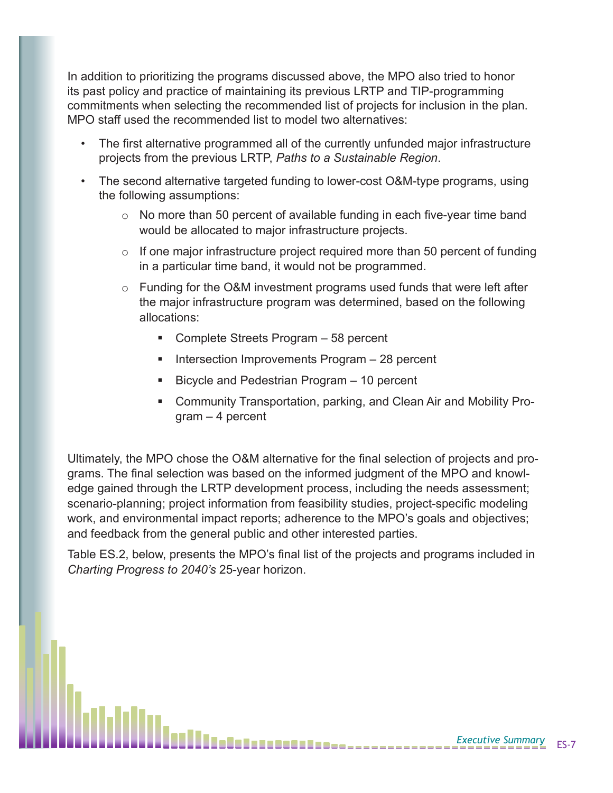In addition to prioritizing the programs discussed above, the MPO also tried to honor its past policy and practice of maintaining its previous LRTP and TIP-programming commitments when selecting the recommended list of projects for inclusion in the plan. MPO staff used the recommended list to model two alternatives:

- The first alternative programmed all of the currently unfunded major infrastructure projects from the previous LRTP, *Paths to a Sustainable Region*.
- The second alternative targeted funding to lower-cost O&M-type programs, using the following assumptions:
	- $\circ$  No more than 50 percent of available funding in each five-year time band would be allocated to major infrastructure projects.
	- $\circ$  If one major infrastructure project required more than 50 percent of funding in a particular time band, it would not be programmed.
	- o Funding for the O&M investment programs used funds that were left after the major infrastructure program was determined, based on the following allocations:
		- Complete Streets Program 58 percent
		- Intersection Improvements Program 28 percent
		- Bicycle and Pedestrian Program 10 percent
		- Community Transportation, parking, and Clean Air and Mobility Program – 4 percent

Ultimately, the MPO chose the O&M alternative for the final selection of projects and programs. The final selection was based on the informed judgment of the MPO and knowledge gained through the LRTP development process, including the needs assessment; scenario-planning; project information from feasibility studies, project-specific modeling work, and environmental impact reports; adherence to the MPO's goals and objectives; and feedback from the general public and other interested parties.

Table ES.2, below, presents the MPO's final list of the projects and programs included in *Charting Progress to 2040's* 25-year horizon.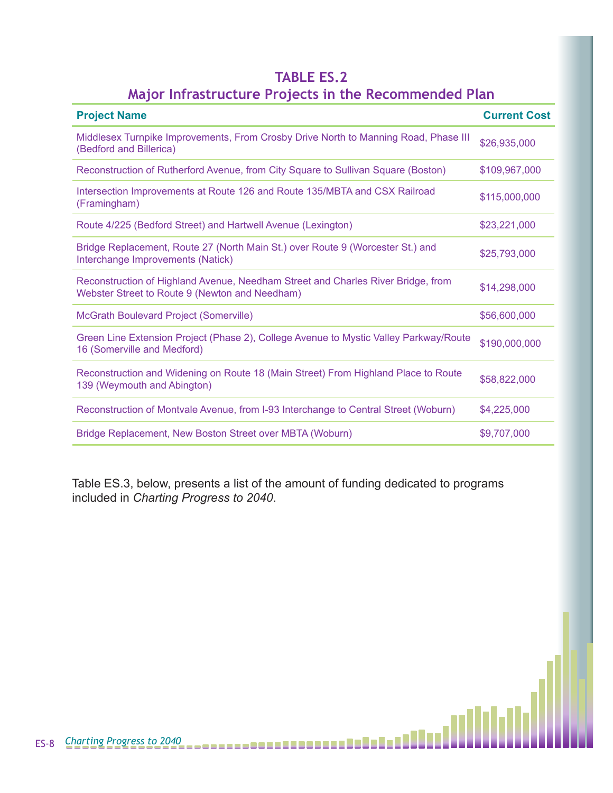#### **TABLE ES.2 Major Infrastructure Projects in the Recommended Plan**

| <b>Project Name</b>                                                                                                                | <b>Current Cost</b> |
|------------------------------------------------------------------------------------------------------------------------------------|---------------------|
| Middlesex Turnpike Improvements, From Crosby Drive North to Manning Road, Phase III<br>(Bedford and Billerica)                     | \$26,935,000        |
| Reconstruction of Rutherford Avenue, from City Square to Sullivan Square (Boston)                                                  | \$109,967,000       |
| Intersection Improvements at Route 126 and Route 135/MBTA and CSX Railroad<br>(Framingham)                                         | \$115,000,000       |
| Route 4/225 (Bedford Street) and Hartwell Avenue (Lexington)                                                                       | \$23,221,000        |
| Bridge Replacement, Route 27 (North Main St.) over Route 9 (Worcester St.) and<br>Interchange Improvements (Natick)                | \$25,793,000        |
| Reconstruction of Highland Avenue, Needham Street and Charles River Bridge, from<br>Webster Street to Route 9 (Newton and Needham) | \$14,298,000        |
| <b>McGrath Boulevard Project (Somerville)</b>                                                                                      | \$56,600,000        |
| Green Line Extension Project (Phase 2), College Avenue to Mystic Valley Parkway/Route<br>16 (Somerville and Medford)               | \$190,000,000       |
| Reconstruction and Widening on Route 18 (Main Street) From Highland Place to Route<br>139 (Weymouth and Abington)                  | \$58,822,000        |
| Reconstruction of Montvale Avenue, from I-93 Interchange to Central Street (Woburn)                                                | \$4,225,000         |
| Bridge Replacement, New Boston Street over MBTA (Woburn)                                                                           | \$9,707,000         |

Table ES.3, below, presents a list of the amount of funding dedicated to programs included in *Charting Progress to 2040*.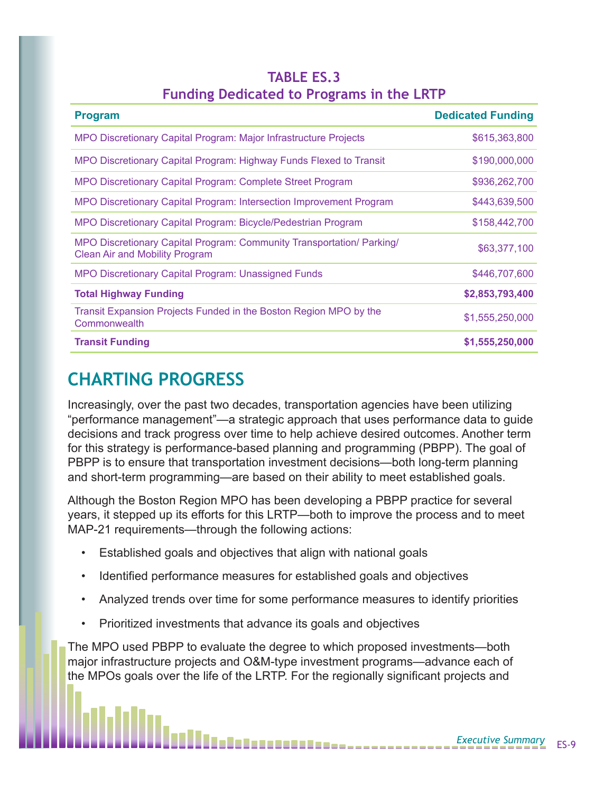| <b>TABLE ES.3</b> |  |  |                                                  |  |  |  |
|-------------------|--|--|--------------------------------------------------|--|--|--|
|                   |  |  | <b>Funding Dedicated to Programs in the LRTP</b> |  |  |  |

| <b>Program</b>                                                                                                 | <b>Dedicated Funding</b> |
|----------------------------------------------------------------------------------------------------------------|--------------------------|
| MPO Discretionary Capital Program: Major Infrastructure Projects                                               | \$615,363,800            |
| MPO Discretionary Capital Program: Highway Funds Flexed to Transit                                             | \$190,000,000            |
| <b>MPO Discretionary Capital Program: Complete Street Program</b>                                              | \$936,262,700            |
| MPO Discretionary Capital Program: Intersection Improvement Program                                            | \$443,639,500            |
| MPO Discretionary Capital Program: Bicycle/Pedestrian Program                                                  | \$158,442,700            |
| MPO Discretionary Capital Program: Community Transportation/ Parking/<br><b>Clean Air and Mobility Program</b> | \$63,377,100             |
| <b>MPO Discretionary Capital Program: Unassigned Funds</b>                                                     | \$446,707,600            |
| <b>Total Highway Funding</b>                                                                                   | \$2,853,793,400          |
| Transit Expansion Projects Funded in the Boston Region MPO by the<br>Commonwealth                              | \$1,555,250,000          |
| <b>Transit Funding</b>                                                                                         | \$1,555,250,000          |

# **CHARTING PROGRESS**

Increasingly, over the past two decades, transportation agencies have been utilizing "performance management"—a strategic approach that uses performance data to guide decisions and track progress over time to help achieve desired outcomes. Another term for this strategy is performance-based planning and programming (PBPP). The goal of PBPP is to ensure that transportation investment decisions—both long-term planning and short-term programming—are based on their ability to meet established goals.

Although the Boston Region MPO has been developing a PBPP practice for several years, it stepped up its efforts for this LRTP—both to improve the process and to meet MAP-21 requirements—through the following actions:

- Established goals and objectives that align with national goals
- Identified performance measures for established goals and objectives
- Analyzed trends over time for some performance measures to identify priorities
- Prioritized investments that advance its goals and objectives

The MPO used PBPP to evaluate the degree to which proposed investments—both major infrastructure projects and O&M-type investment programs—advance each of the MPOs goals over the life of the LRTP. For the regionally significant projects and

11111-----------------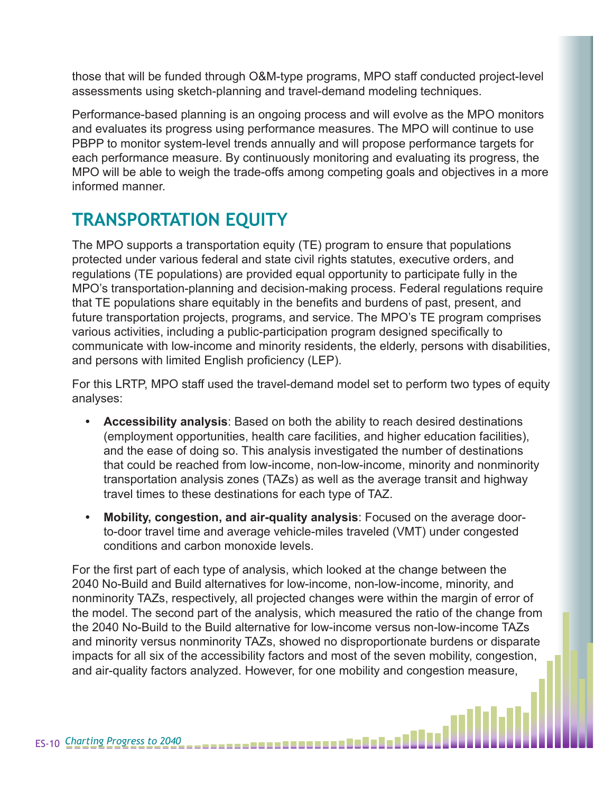those that will be funded through O&M-type programs, MPO staff conducted project-level assessments using sketch-planning and travel-demand modeling techniques.

Performance-based planning is an ongoing process and will evolve as the MPO monitors and evaluates its progress using performance measures. The MPO will continue to use PBPP to monitor system-level trends annually and will propose performance targets for each performance measure. By continuously monitoring and evaluating its progress, the MPO will be able to weigh the trade-offs among competing goals and objectives in a more informed manner.

# **TRANSPORTATION EQUITY**

The MPO supports a transportation equity (TE) program to ensure that populations protected under various federal and state civil rights statutes, executive orders, and regulations (TE populations) are provided equal opportunity to participate fully in the MPO's transportation-planning and decision-making process. Federal regulations require that TE populations share equitably in the benefits and burdens of past, present, and future transportation projects, programs, and service. The MPO's TE program comprises various activities, including a public-participation program designed specifically to communicate with low-income and minority residents, the elderly, persons with disabilities, and persons with limited English proficiency (LEP).

For this LRTP, MPO staff used the travel-demand model set to perform two types of equity analyses:

- **• Accessibility analysis**: Based on both the ability to reach desired destinations (employment opportunities, health care facilities, and higher education facilities), and the ease of doing so. This analysis investigated the number of destinations that could be reached from low-income, non-low-income, minority and nonminority transportation analysis zones (TAZs) as well as the average transit and highway travel times to these destinations for each type of TAZ.
- **• Mobility, congestion, and air-quality analysis**: Focused on the average doorto-door travel time and average vehicle-miles traveled (VMT) under congested conditions and carbon monoxide levels.

For the first part of each type of analysis, which looked at the change between the 2040 No-Build and Build alternatives for low-income, non-low-income, minority, and nonminority TAZs, respectively, all projected changes were within the margin of error of the model. The second part of the analysis, which measured the ratio of the change from the 2040 No-Build to the Build alternative for low-income versus non-low-income TAZs and minority versus nonminority TAZs, showed no disproportionate burdens or disparate impacts for all six of the accessibility factors and most of the seven mobility, congestion, and air-quality factors analyzed. However, for one mobility and congestion measure,